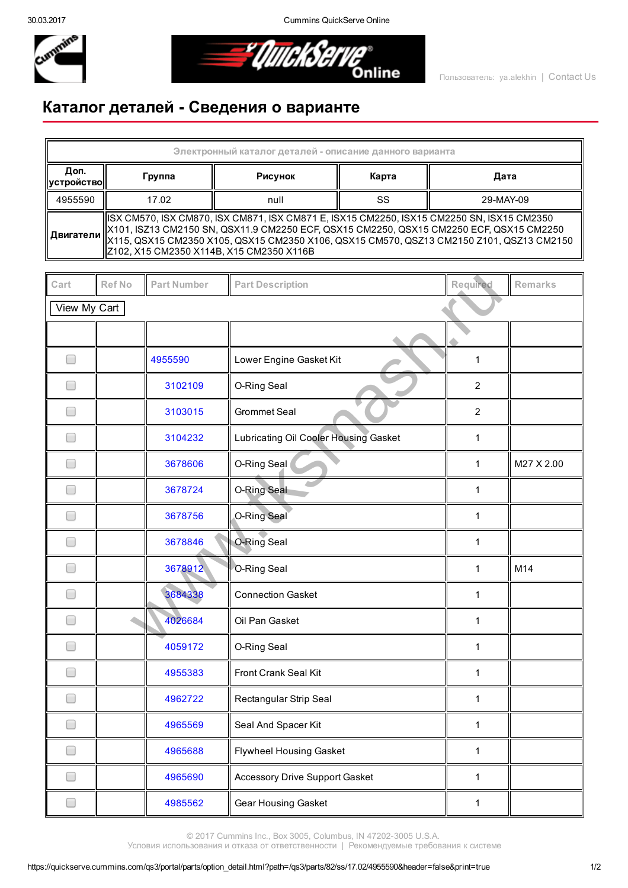30.03.2017 Cummins QuickServe Online



Online

## Каталог деталей Сведения о варианте

| Электронный каталог деталей - описание данного варианта |                                                                                                                                                                                                                                                                                                                                                      |         |       |           |  |  |  |  |
|---------------------------------------------------------|------------------------------------------------------------------------------------------------------------------------------------------------------------------------------------------------------------------------------------------------------------------------------------------------------------------------------------------------------|---------|-------|-----------|--|--|--|--|
| Доп.<br>  устройство                                    | Группа                                                                                                                                                                                                                                                                                                                                               | Рисунок | Карта | Дата      |  |  |  |  |
| 4955590                                                 | 17.02                                                                                                                                                                                                                                                                                                                                                | null    | SS    | 29-MAY-09 |  |  |  |  |
|                                                         | ISX CM570, ISX CM870, ISX CM871, ISX CM871 E, ISX15 CM2250, ISX15 CM2250 SN, ISX15 CM2350<br>  X101, ISZ13 CM2150 SN, QSX11.9 CM2250 ECF, QSX15 CM2250, QSX15 CM2250 ECF, QSX15 CM2250<br>   <b>Двигатели</b>   X115, QSX15 CM2350 X105, QSX15 CM2350 X106, QSX15 CM570, QSZ13 CM2150 Z101, QSZ13 CM2150<br>Z102, X15 CM2350 X114B, X15 CM2350 X116B |         |       |           |  |  |  |  |

| Cart                     | <b>Ref No</b> | <b>Part Number</b> | <b>Part Description</b>               | Required       | <b>Remarks</b> |  |  |  |  |
|--------------------------|---------------|--------------------|---------------------------------------|----------------|----------------|--|--|--|--|
| View My Cart             |               |                    |                                       |                |                |  |  |  |  |
|                          |               |                    |                                       |                |                |  |  |  |  |
| $\overline{\phantom{a}}$ |               | 4955590            | Lower Engine Gasket Kit               | $\mathbf{1}$   |                |  |  |  |  |
|                          |               | 3102109            | O-Ring Seal                           | $\overline{2}$ |                |  |  |  |  |
|                          |               | 3103015            | <b>Grommet Seal</b>                   | $\overline{2}$ |                |  |  |  |  |
| ۰                        |               | 3104232            | Lubricating Oil Cooler Housing Gasket | 1              |                |  |  |  |  |
| $\Box$                   |               | 3678606            | O-Ring Seal                           | $\mathbf{1}$   | M27 X 2.00     |  |  |  |  |
| $\overline{\phantom{a}}$ |               | 3678724            | O-Ring Seal                           | 1              |                |  |  |  |  |
| ۰                        |               | 3678756            | O-Ring Seal                           | $\mathbf{1}$   |                |  |  |  |  |
| ۰                        |               | 3678846            | O-Ring Seal                           | $\mathbf{1}$   |                |  |  |  |  |
|                          |               | 3678912            | O-Ring Seal                           | $\mathbf 1$    | M14            |  |  |  |  |
|                          |               | 3684338            | <b>Connection Gasket</b>              | $\mathbf{1}$   |                |  |  |  |  |
|                          |               | 4026684            | Oil Pan Gasket                        | $\mathbf 1$    |                |  |  |  |  |
| $\Box$                   |               | 4059172            | O-Ring Seal                           | $\mathbf{1}$   |                |  |  |  |  |
| $\overline{\phantom{0}}$ |               | 4955383            | Front Crank Seal Kit                  | 1              |                |  |  |  |  |
| $\mathcal{A}$            |               | 4962722            | Rectangular Strip Seal                | 1              |                |  |  |  |  |
| $\overline{\phantom{a}}$ |               | 4965569            | Seal And Spacer Kit                   | 1              |                |  |  |  |  |
|                          |               | 4965688            | <b>Flywheel Housing Gasket</b>        | $\mathbf{1}$   |                |  |  |  |  |
|                          |               | 4965690            | <b>Accessory Drive Support Gasket</b> | $\mathbf{1}$   |                |  |  |  |  |
|                          |               | 4985562            | Gear Housing Gasket                   | 1              |                |  |  |  |  |

© 2017 Cummins Inc., Box 3005, Columbus, IN 47202-3005 U.S.A.

Условия использования и отказа от [ответственности](https://quickserve.cummins.com/qs3/qsol/terms.html) | [Рекомендуемые](https://quickserve.cummins.com/qs3/qsol/system_requirements.html) требования к системе